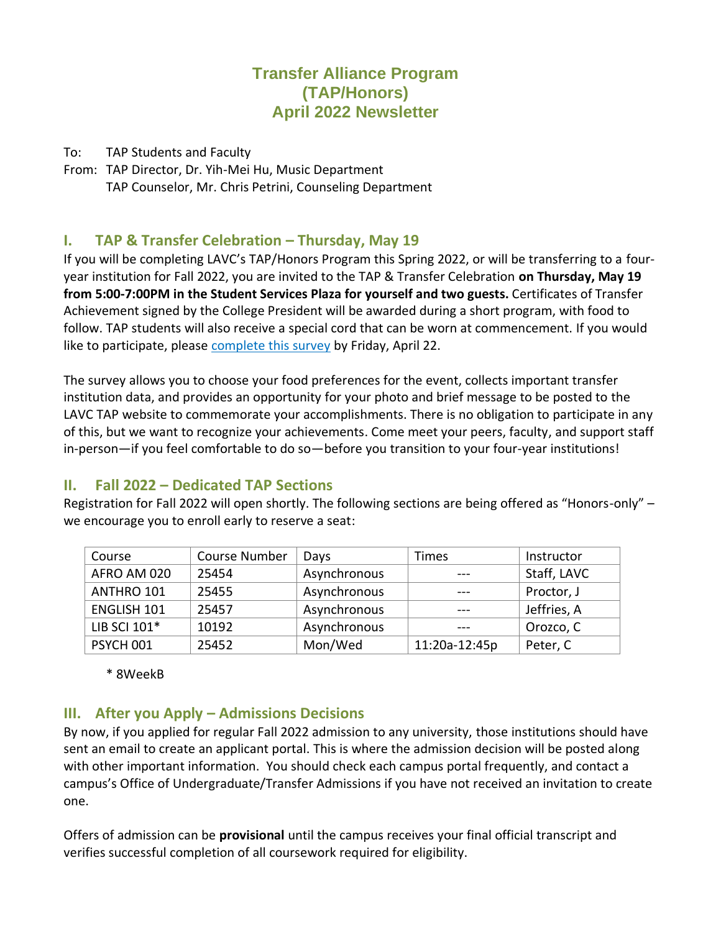## **Transfer Alliance Program (TAP/Honors) April 2022 Newsletter**

To: TAP Students and Faculty

From: TAP Director, Dr. Yih-Mei Hu, Music Department TAP Counselor, Mr. Chris Petrini, Counseling Department

### **I.** TAP & Transfer Celebration – Thursday, May 19

If you will be completing LAVC's TAP/Honors Program this Spring 2022, or will be transferring to a fouryear institution for Fall 2022, you are invited to the TAP & Transfer Celebration **on Thursday, May 19 from 5:00-7:00PM in the Student Services Plaza for yourself and two guests.** Certificates of Transfer Achievement signed by the College President will be awarded during a short program, with food to follow. TAP students will also receive a special cord that can be worn at commencement. If you would like to participate, please [complete this survey](http://tinyurl.com/yuxbjz72) by Friday, April 22.

The survey allows you to choose your food preferences for the event, collects important transfer institution data, and provides an opportunity for your photo and brief message to be posted to the LAVC TAP website to commemorate your accomplishments. There is no obligation to participate in any of this, but we want to recognize your achievements. Come meet your peers, faculty, and support staff in-person—if you feel comfortable to do so—before you transition to your four-year institutions!

### **II. Fall 2022 – Dedicated TAP Sections**

Registration for Fall 2022 will open shortly. The following sections are being offered as "Honors-only" – we encourage you to enroll early to reserve a seat:

| Course             | <b>Course Number</b> | Days         | Times         | Instructor  |
|--------------------|----------------------|--------------|---------------|-------------|
| AFRO AM 020        | 25454                | Asynchronous | $- - -$       | Staff, LAVC |
| ANTHRO 101         | 25455                | Asynchronous |               | Proctor, J  |
| <b>ENGLISH 101</b> | 25457                | Asynchronous |               | Jeffries, A |
| LIB SCI 101*       | 10192                | Asynchronous | ---           | Orozco, C   |
| PSYCH 001          | 25452                | Mon/Wed      | 11:20a-12:45p | Peter, C    |

\* 8WeekB

### **III. After you Apply – Admissions Decisions**

By now, if you applied for regular Fall 2022 admission to any university, those institutions should have sent an email to create an applicant portal. This is where the admission decision will be posted along with other important information. You should check each campus portal frequently, and contact a campus's Office of Undergraduate/Transfer Admissions if you have not received an invitation to create one.

Offers of admission can be **provisional** until the campus receives your final official transcript and verifies successful completion of all coursework required for eligibility.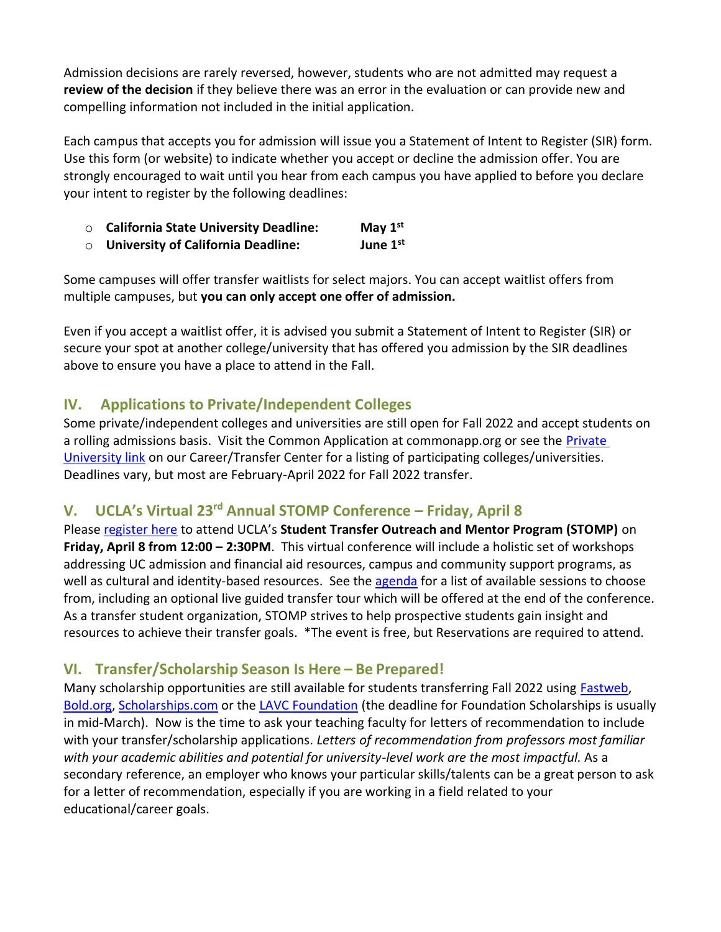Admission decisions are rarely reversed, however, students who are not admitted may request a **review of the decision** if they believe there was an error in the evaluation or can provide new and compelling information not included in the initial application.

Each campus that accepts you for admission will issue you a Statement of Intent to Register (SIR) form. Use this form (or website) to indicate whether you accept or decline the admission offer. You are strongly encouraged to wait until you hear from each campus you have applied to before you declare your intent to register by the following deadlines:

- o **California State University Deadline: May 1st**
- o **University of California Deadline: June 1st**

Some campuses will offer transfer waitlists for select majors. You can accept waitlist offers from multiple campuses, but **you can only accept one offer of admission.**

Even if you accept a waitlist offer, it is advised you submit a Statement of Intent to Register (SIR) or secure your spot at another college/university that has offered you admission by the SIR deadlines above to ensure you have a place to attend in the Fall.

## **IV. Applications to Private/Independent Colleges**

Some private/independent colleges and universities are still open for Fall 2022 and accept students on a rolling admissions basis. Visit the Common Application at commonapp.org or see the [Private](https://lavc.edu/transfer/Transferring-to-a-Private-University.aspx)  [University link](https://lavc.edu/transfer/Transferring-to-a-Private-University.aspx) on our Career/Transfer Center for a listing of participating colleges/universities. Deadlines vary, but most are February-April 2022 for Fall 2022 transfer.

# **V. UCLA's Virtual 23rd Annual STOMP Conference – Friday, April 8**

Please [register here](https://connect.admission.ucla.edu/register/stompconference2022) to attend UCLA's **Student Transfer Outreach and Mentor Program (STOMP)** on **Friday, April 8 from 12:00 – 2:30PM**. This virtual conference will include a holistic set of workshops addressing UC admission and financial aid resources, campus and community support programs, as well as cultural and identity-based resources. See the [agenda](https://connect.admission.ucla.edu/www/documents/STOMP%202022%20Conference%20Agenda%20(1).pdf) for a list of available sessions to choose from, including an optional live guided transfer tour which will be offered at the end of the conference. As a transfer student organization, STOMP strives to help prospective students gain insight and resources to achieve their transfer goals. \*The event is free, but Reservations are required to attend.

## **VI. Transfer/Scholarship Season Is Here – Be Prepared!**

Many scholarship opportunities are still available for students transferring Fall 2022 using [Fastweb,](https://www.fastweb.com/) [Bold.org,](https://bold.org/applicants/) [Scholarships.com](https://www.scholarships.com/) or the [LAVC Foundation](http://www.lavcfoundation.org/scholarships.php) (the deadline for Foundation Scholarships is usually in mid-March). Now is the time to ask your teaching faculty for letters of recommendation to include with your transfer/scholarship applications. *Letters of recommendation from professors most familiar with your academic abilities and potential for university-level work are the most impactful.* As a secondary reference, an employer who knows your particular skills/talents can be a great person to ask for a letter of recommendation, especially if you are working in a field related to your educational/career goals.